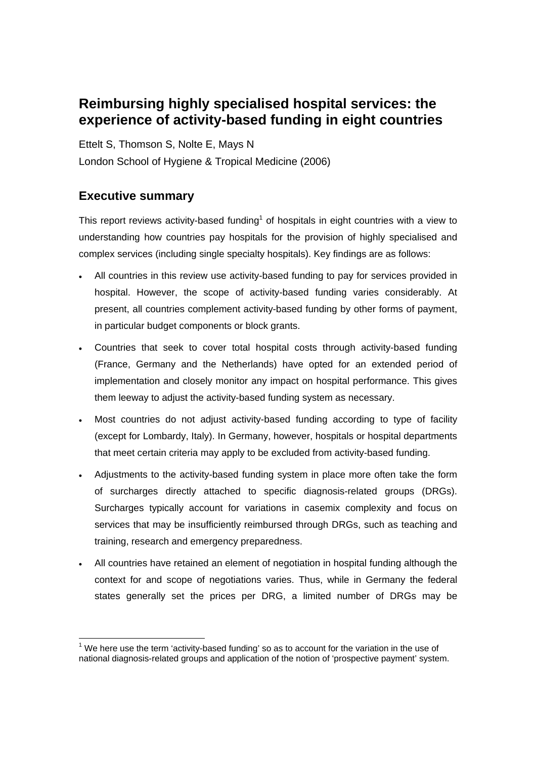## **Reimbursing highly specialised hospital services: the experience of activity-based funding in eight countries**

Ettelt S, Thomson S, Nolte E, Mays N London School of Hygiene & Tropical Medicine (2006)

## **Executive summary**

This report reviews activity-based funding<sup>1</sup> of hospitals in eight countries with a view to understanding how countries pay hospitals for the provision of highly specialised and complex services (including single specialty hospitals). Key findings are as follows:

- All countries in this review use activity-based funding to pay for services provided in hospital. However, the scope of activity-based funding varies considerably. At present, all countries complement activity-based funding by other forms of payment, in particular budget components or block grants.
- Countries that seek to cover total hospital costs through activity-based funding (France, Germany and the Netherlands) have opted for an extended period of implementation and closely monitor any impact on hospital performance. This gives them leeway to adjust the activity-based funding system as necessary.
- Most countries do not adjust activity-based funding according to type of facility (except for Lombardy, Italy). In Germany, however, hospitals or hospital departments that meet certain criteria may apply to be excluded from activity-based funding.
- Adjustments to the activity-based funding system in place more often take the form of surcharges directly attached to specific diagnosis-related groups (DRGs). Surcharges typically account for variations in casemix complexity and focus on services that may be insufficiently reimbursed through DRGs, such as teaching and training, research and emergency preparedness.
- All countries have retained an element of negotiation in hospital funding although the context for and scope of negotiations varies. Thus, while in Germany the federal states generally set the prices per DRG, a limited number of DRGs may be

  $1$  We here use the term 'activity-based funding' so as to account for the variation in the use of national diagnosis-related groups and application of the notion of 'prospective payment' system.